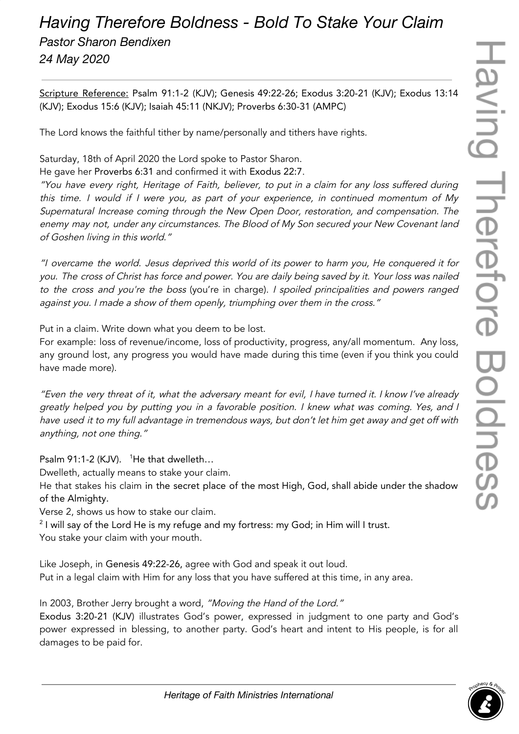## *Having Therefore Boldness - Bold To Stake Your Claim Pastor Sharon Bendixen 24 May 2020*

Scripture Reference: Psalm 91:1-2 (KJV); Genesis 49:22-26; Exodus 3:20-21 (KJV); Exodus 13:14 (KJV); Exodus 15:6 (KJV); Isaiah 45:11 (NKJV); Proverbs 6:30-31 (AMPC)

The Lord knows the faithful tither by name/personally and tithers have rights.

Saturday, 18th of April 2020 the Lord spoke to Pastor Sharon. He gave her Proverbs 6:31 and confirmed it with Exodus 22:7.

"You have every right, Heritage of Faith, believer, to put in <sup>a</sup> claim for any loss suffered during this time. <sup>I</sup> would if <sup>I</sup> were you, as part of your experience, in continued momentum of My Supernatural Increase coming through the New Open Door, restoration, and compensation. The enemy may not, under any circumstances. The Blood of My Son secured your New Covenant land of Goshen living in this world."

"I overcame the world. Jesus deprived this world of its power to harm you, He conquered it for you. The cross of Christ has force and power. You are daily being saved by it. Your loss was nailed to the cross and you're the boss (you're in charge). <sup>I</sup> spoiled principalities and powers ranged against you. <sup>I</sup> made <sup>a</sup> show of them openly, triumphing over them in the cross."

Put in a claim. Write down what you deem to be lost.

For example: loss of revenue/income, loss of productivity, progress, any/all momentum. Any loss, any ground lost, any progress you would have made during this time (even if you think you could have made more).

"Even the very threat of it, what the adversary meant for evil, I have turned it. I know I've already greatly helped you by putting you in <sup>a</sup> favorable position. <sup>I</sup> knew what was coming. Yes, and <sup>I</sup> have used it to my full advantage in tremendous ways, but don't let him get away and get off with anything, not one thing."

Psalm 91:1-2 (KJV). <sup>1</sup>He that dwelleth...

Dwelleth, actually means to stake your claim.

He that stakes his claim in the secret place of the most High, God, shall abide under the shadow of the Almighty.

Verse 2, shows us how to stake our claim.

 $^2$  I will say of the Lord He is my refuge and my fortress: my God; in Him will I trust. You stake your claim with your mouth.

Like Joseph, in Genesis 49:22-26, agree with God and speak it out loud. Put in a legal claim with Him for any loss that you have suffered at this time, in any area.

In 2003, Brother Jerry brought a word, "Moving the Hand of the Lord."

Exodus 3:20-21 (KJV) illustrates God's power, expressed in judgment to one party and God's power expressed in blessing, to another party. God's heart and intent to His people, is for all damages to be paid for.